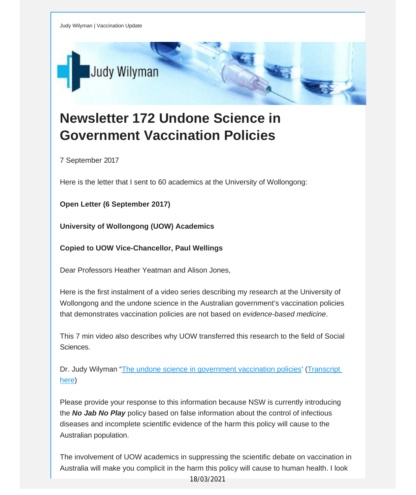

## **Newsletter 172 Undone Science in Government Vaccination Policies**

7 September 2017

Here is the letter that I sent to 60 academics at the University of Wollongong:

**Open Letter (6 September 2017)**

**University of Wollongong (UOW) Academics**

**Copied to UOW Vice-Chancellor, Paul Wellings**

Dear Professors Heather Yeatman and Alison Jones,

Here is the first instalment of a video series describing my research at the University of Wollongong and the undone science in the Australian government's vaccination policies that demonstrates vaccination policies are not based on *evidence-based medicine*.

This 7 min video also describes why UOW transferred this research to the field of Social Sciences.

Dr. Judy Wilyman "The undone science in [government](http://vaccinationdecisions.us8.list-manage1.com/track/click?u=f20605fde3732e41929f4a3f2&id=3bce5beaf5&e=fec8337d3c) vaccination policies' ([Transcript](http://vaccinationdecisions.us8.list-manage.com/track/click?u=f20605fde3732e41929f4a3f2&id=ad209a3604&e=fec8337d3c) [here\)](http://vaccinationdecisions.us8.list-manage.com/track/click?u=f20605fde3732e41929f4a3f2&id=ad209a3604&e=fec8337d3c)

Please provide your response to this information because NSW is currently introducing the *No Jab No Play* policy based on false information about the control of infectious diseases and incomplete scientific evidence of the harm this policy will cause to the Australian population.

The involvement of UOW academics in suppressing the scientific debate on vaccination in Australia will make you complicit in the harm this policy will cause to human health. I look

18/03/2021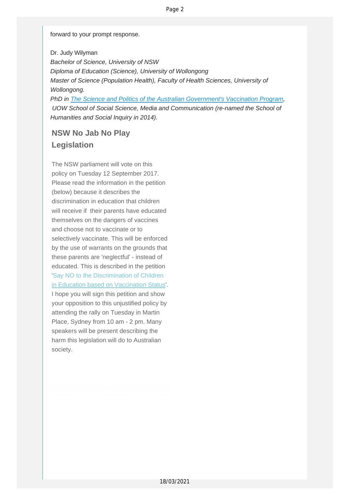forward to your prompt response.

Dr. Judy Wilyman *Bachelor of Science, University of NSW Diploma of Education (Science), University of Wollongong Master of Science (Population Health), Faculty of Health Sciences, University of Wollongong. PhD in The Science and Politics of the Australian [Government's](http://vaccinationdecisions.us8.list-manage.com/track/click?u=f20605fde3732e41929f4a3f2&id=9e98f314d4&e=fec8337d3c) Vaccination Program,*

*UOW School of Social Science, Media and Communication (re-named the School of Humanities and Social Inquiry in 2014).*

## **NSW No Jab No Play Legislation**

The NSW parliament will vote on this policy on Tuesday 12 September 2017. Please read the information in the petition (below) because it describes the discrimination in education that children will receive if their parents have educated themselves on the dangers of vaccines and choose not to vaccinate or to selectively vaccinate. This will be enforced by the use of warrants on the grounds that these parents are 'neglectful' - instead of educated. This is described in the petition 'Say NO to the Discrimination of Children in Education based on Vaccination Status'. I hope you will sign this petition and show your opposition to this unjustified policy by attending the rally on Tuesday in Martin Place, Sydney from 10 am - 2 pm. Many speakers will be present describing the harm this legislation will do to Australian society.